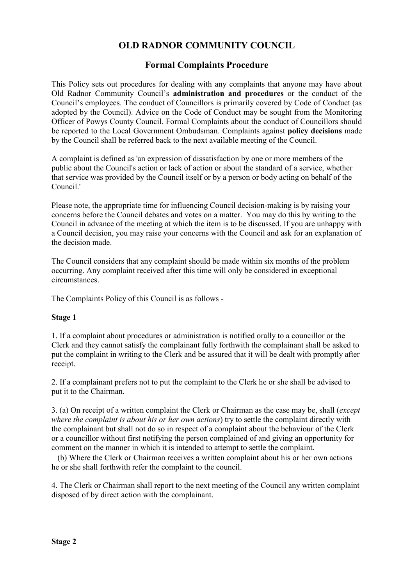# **OLD RADNOR COMMUNITY COUNCIL**

## **Formal Complaints Procedure**

This Policy sets out procedures for dealing with any complaints that anyone may have about Old Radnor Community Council's **administration and procedures** or the conduct of the Council's employees. The conduct of Councillors is primarily covered by Code of Conduct (as adopted by the Council). Advice on the Code of Conduct may be sought from the Monitoring Officer of Powys County Council. Formal Complaints about the conduct of Councillors should be reported to the Local Government Ombudsman. Complaints against **policy decisions** made by the Council shall be referred back to the next available meeting of the Council.

A complaint is defined as 'an expression of dissatisfaction by one or more members of the public about the Council's action or lack of action or about the standard of a service, whether that service was provided by the Council itself or by a person or body acting on behalf of the Council.'

Please note, the appropriate time for influencing Council decision-making is by raising your concerns before the Council debates and votes on a matter. You may do this by writing to the Council in advance of the meeting at which the item is to be discussed. If you are unhappy with a Council decision, you may raise your concerns with the Council and ask for an explanation of the decision made.

The Council considers that any complaint should be made within six months of the problem occurring. Any complaint received after this time will only be considered in exceptional circumstances.

The Complaints Policy of this Council is as follows -

#### **Stage 1**

1. If a complaint about procedures or administration is notified orally to a councillor or the Clerk and they cannot satisfy the complainant fully forthwith the complainant shall be asked to put the complaint in writing to the Clerk and be assured that it will be dealt with promptly after receipt.

2. If a complainant prefers not to put the complaint to the Clerk he or she shall be advised to put it to the Chairman.

3. (a) On receipt of a written complaint the Clerk or Chairman as the case may be, shall (*except where the complaint is about his or her own actions*) try to settle the complaint directly with the complainant but shall not do so in respect of a complaint about the behaviour of the Clerk or a councillor without first notifying the person complained of and giving an opportunity for comment on the manner in which it is intended to attempt to settle the complaint.

 (b) Where the Clerk or Chairman receives a written complaint about his or her own actions he or she shall forthwith refer the complaint to the council.

4. The Clerk or Chairman shall report to the next meeting of the Council any written complaint disposed of by direct action with the complainant.